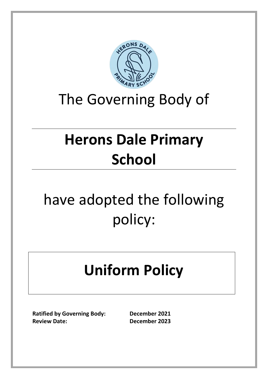

# The Governing Body of

# **Herons Dale Primary School**

# have adopted the following policy:

# **Uniform Policy**

**Ratified by Governing Body: December 2021 Review Date: December 2023**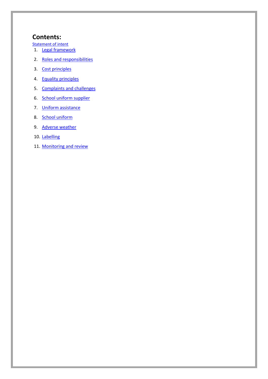# **Contents:**

[Statement of](#page-2-0) inten[t](#page-2-0)

- 1. [Legal framework](#page-3-0)
- 2. [Roles and responsibilities](#page-3-1)
- 3. [Cost principles](#page-4-0)
- 4. Equality [principles](#page-5-0)
- 5. [Complaints and challenges](#page-5-1)
- 6. [School uniform supplier](#page-6-0)
- 7. [Uniform assistance](#page-6-1)
- 8. [School uniform](#page-6-2)
- 9. [Adverse weather](#page-8-0)
- 10. [Labelling](#page-8-1)
- 11. [Monitoring and review](#page-8-2)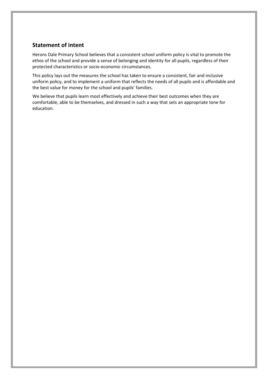# <span id="page-2-0"></span>**Statement of intent**

Herons Dale Primary School believes that a consistent school uniform policy is vital to promote the ethos of the school and provide a sense of belonging and identity for all pupils, regardless of their protected characteristics or socio-economic circumstances.

This policy lays out the measures the school has taken to ensure a consistent, fair and inclusive uniform policy, and to implement a uniform that reflects the needs of all pupils and is affordable and the best value for money for the school and pupils' families.

We believe that pupils learn most effectively and achieve their best outcomes when they are comfortable, able to be themselves, and dressed in such a way that sets an appropriate tone for education.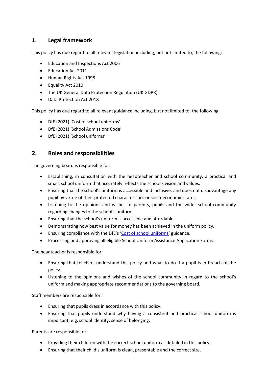# <span id="page-3-0"></span>**1. Legal framework**

This policy has due regard to all relevant legislation including, but not limited to, the following:

- Education and Inspections Act 2006
- Education Act 2011
- Human Rights Act 1998
- Equality Act 2010
- The UK General Data Protection Regulation (UK GDPR)
- Data Protection Act 2018

This policy has due regard to all relevant guidance including, but not limited to, the following:

- DfE (2021) 'Cost of school uniforms'
- DfE (2021) 'School Admissions Code'
- DfE (2021) 'School uniforms'

# <span id="page-3-1"></span>**2. Roles and responsibilities**

The governing board is responsible for:

- Establishing, in consultation with the headteacher and school community, a practical and smart school uniform that accurately reflects the school's vision and values.
- Ensuring that the school's uniform is accessible and inclusive, and does not disadvantage any pupil by virtue of their protected characteristics or socio-economic status.
- Listening to the opinions and wishes of parents, pupils and the wider school community regarding changes to the school's uniform.
- Ensuring that the school's uniform is accessible and affordable.
- Demonstrating how best value for money has been achieved in the uniform policy.
- Ensuring compliance with the DfE's '[Cost of school uniforms](https://www.gov.uk/government/publications/cost-of-school-uniforms/cost-of-school-uniforms)' guidance.
- Processing and approving all eligible School Uniform Assistance Application Forms.

The headteacher is responsible for:

- Ensuring that teachers understand this policy and what to do if a pupil is in breach of the policy.
- Listening to the opinions and wishes of the school community in regard to the school's uniform and making appropriate recommendations to the governing board.

Staff members are responsible for:

- Ensuring that pupils dress in accordance with this policy.
- Ensuring that pupils understand why having a consistent and practical school uniform is important, e.g. school identity, sense of belonging.

Parents are responsible for:

- Providing their children with the correct school uniform as detailed in this policy.
- Ensuring that their child's uniform is clean, presentable and the correct size.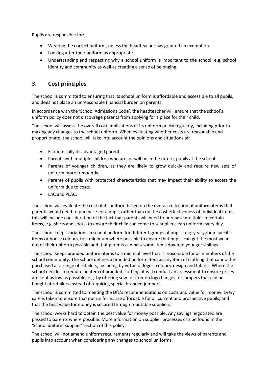Pupils are responsible for:

- Wearing the correct uniform, unless the headteacher has granted an exemption.
- Looking after their uniform as appropriate.
- Understanding and respecting why a school uniform is important to the school, e.g. school identity and community as well as creating a sense of belonging.

### <span id="page-4-0"></span>**3. Cost principles**

The school is committed to ensuring that its school uniform is affordable and accessible to all pupils, and does not place an unreasonable financial burden on parents.

In accordance with the 'School Admissions Code', the headteacher will ensure that the school's uniform policy does not discourage parents from applying for a place for their child.

The school will assess the overall cost implications of its uniform policy regularly, including prior to making any changes to the school uniform. When evaluating whether costs are reasonable and proportionate, the school will take into account the opinions and situations of:

- Economically disadvantaged parents.
- Parents with multiple children who are, or will be in the future, pupils at the school.
- Parents of younger children, as they are likely to grow quickly and require new sets of uniform more frequently.
- Parents of pupils with protected characteristics that may impact their ability to access the uniform due to costs.
- LAC and PLAC.

The school will evaluate the cost of its uniform based on the overall collection of uniform items that parents would need to purchase for a pupil, rather than on the cost effectiveness of individual items; this will include consideration of the fact that parents will need to purchase multiples of certain items, e.g. shirts and socks, to ensure their child can come to school in clean uniform every day.

The school keeps variations in school uniform for different groups of pupils, e.g. year group-specific items or house colours, to a minimum where possible to ensure that pupils can get the most wear out of their uniform possible and that parents can pass some items down to younger siblings.

The school keeps branded uniform items to a minimal level that is reasonable for all members of the school community. The school defines a branded uniform item as any item of clothing that cannot be purchased at a range of retailers, including by virtue of logos, colours, design and fabrics. Where the school decides to require an item of branded clothing, it will conduct an assessment to ensure prices are kept as low as possible, e.g. by offering sew- or iron-on logo badges for jumpers that can be bought at retailers instead of requiring special branded jumpers.

The school is committed to meeting the DfE's recommendations on costs and value for money. Every care is taken to ensure that our uniforms are affordable for all current and prospective pupils, and that the best value for money is secured through reputable suppliers.

The school works hard to obtain the best value for money possible. Any savings negotiated are passed to parents where possible. More information on supplier processes can be found in the 'School uniform supplier' section of this policy.

The school will not amend uniform requirements regularly and will take the views of parents and pupils into account when considering any changes to school uniforms.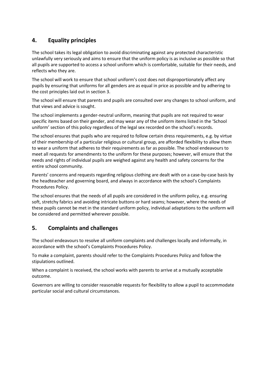# <span id="page-5-0"></span>**4. Equality principles**

The school takes its legal obligation to avoid discriminating against any protected characteristic unlawfully very seriously and aims to ensure that the uniform policy is as inclusive as possible so that all pupils are supported to access a school uniform which is comfortable, suitable for their needs, and reflects who they are.

The school will work to ensure that school uniform's cost does not disproportionately affect any pupils by ensuring that uniforms for all genders are as equal in price as possible and by adhering to the cost principles laid out in section 3.

The school will ensure that parents and pupils are consulted over any changes to school uniform, and that views and advice is sought.

The school implements a gender-neutral uniform, meaning that pupils are not required to wear specific items based on their gender, and may wear any of the uniform items listed in the 'School uniform' section of this policy regardless of the legal sex recorded on the school's records.

The school ensures that pupils who are required to follow certain dress requirements, e.g. by virtue of their membership of a particular religious or cultural group, are afforded flexibility to allow them to wear a uniform that adheres to their requirements as far as possible. The school endeavours to meet all requests for amendments to the uniform for these purposes; however, will ensure that the needs and rights of individual pupils are weighed against any health and safety concerns for the entire school community.

Parents' concerns and requests regarding religious clothing are dealt with on a case-by-case basis by the headteacher and governing board, and always in accordance with the school's Complaints Procedures Policy.

The school ensures that the needs of all pupils are considered in the uniform policy, e.g. ensuring soft, stretchy fabrics and avoiding intricate buttons or hard seams; however, where the needs of these pupils cannot be met in the standard uniform policy, individual adaptations to the uniform will be considered and permitted wherever possible.

### <span id="page-5-1"></span>**5. Complaints and challenges**

The school endeavours to resolve all uniform complaints and challenges locally and informally, in accordance with the school's Complaints Procedures Policy.

To make a complaint, parents should refer to the Complaints Procedures Policy and follow the stipulations outlined.

When a complaint is received, the school works with parents to arrive at a mutually acceptable outcome.

Governors are willing to consider reasonable requests for flexibility to allow a pupil to accommodate particular social and cultural circumstances.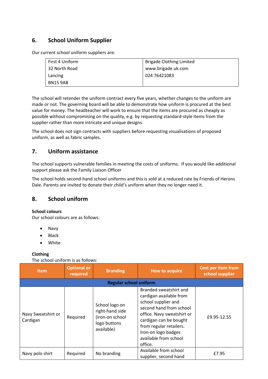# **6. School Uniform Supplier**

<span id="page-6-0"></span>Our current school uniform suppliers are:

| First 4 Uniform | <b>Brigade Clothing Limited</b> |
|-----------------|---------------------------------|
| 32 North Road   | www.brigade.uk.com              |
| Lancing         | 024 76421083                    |
| BN15 9AB        |                                 |

The school will retender the uniform contract every five years, whether changes to the uniform are made or not. The governing board will be able to demonstrate how uniform is procured at the best value for money. The headteacher will work to ensure that the items are procured as cheaply as possible without compromising on the quality, e.g. by requesting standard-style items from the supplier rather than more intricate and unique designs.

The school does not sign contracts with suppliers before requesting visualisations of proposed uniform, as well as fabric samples.

# <span id="page-6-1"></span>**7. Uniform assistance**

The school supports vulnerable families in meeting the costs of uniforms. If you would like additional support please ask the Family Liaison Officer

The school holds second-hand school uniforms and this is sold at a reduced rate by Friends of Herons Dale. Parents are invited to donate their child's uniform when they no longer need it.

### <span id="page-6-2"></span>**8. School uniform**

#### **School colours**

Our school colours are as follows:

- Navy
- Black
- White

#### **Clothing**

The school uniform is as follows:

| <b>Item</b>                    | <b>Optional or</b><br>required | <b>Branding</b>                                                                    | <b>How to acquire</b>                                                                                                                                                                                                                             | <b>Cost per item from</b><br>school supplier |  |  |
|--------------------------------|--------------------------------|------------------------------------------------------------------------------------|---------------------------------------------------------------------------------------------------------------------------------------------------------------------------------------------------------------------------------------------------|----------------------------------------------|--|--|
| <b>Regular school uniform</b>  |                                |                                                                                    |                                                                                                                                                                                                                                                   |                                              |  |  |
| Navy Sweatshirt or<br>Cardigan | Required                       | School logo on<br>right-hand side<br>(iron-on school<br>logo buttons<br>available) | Branded sweatshirt and<br>cardigan available from<br>school supplier and<br>second hand from school<br>office. Navy sweatshirt or<br>cardigan can be bought<br>from regular retailers.<br>Iron-on logo badges<br>available from school<br>office. | £9.95-12.55                                  |  |  |
| Navy polo shirt                | Required                       | No branding                                                                        | Available from school<br>supplier, second hand                                                                                                                                                                                                    | £7.95                                        |  |  |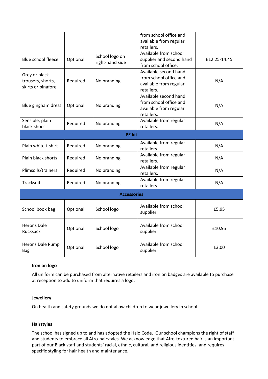|                                                          |          |                                   | from school office and<br>available from regular<br>retailers.                          |              |  |  |
|----------------------------------------------------------|----------|-----------------------------------|-----------------------------------------------------------------------------------------|--------------|--|--|
| Blue school fleece                                       | Optional | School logo on<br>right-hand side | Available from school<br>supplier and second hand<br>from school office.                | £12.25-14.45 |  |  |
| Grey or black<br>trousers, shorts,<br>skirts or pinafore | Required | No branding                       | Available second hand<br>from school office and<br>available from regular<br>retailers. | N/A          |  |  |
| Blue gingham dress                                       | Optional | No branding                       | Available second hand<br>from school office and<br>available from regular<br>retailers. | N/A          |  |  |
| Sensible, plain<br>black shoes                           | Required | No branding                       | Available from regular<br>retailers.                                                    | N/A          |  |  |
| <b>PE kit</b>                                            |          |                                   |                                                                                         |              |  |  |
| Plain white t-shirt                                      | Required | No branding                       | Available from regular<br>retailers.                                                    | N/A          |  |  |
| Plain black shorts                                       | Required | No branding                       | Available from regular<br>retailers.                                                    | N/A          |  |  |
| Plimsolls/trainers                                       | Required | No branding                       | Available from regular<br>retailers.                                                    | N/A          |  |  |
| Tracksuit                                                | Required | No branding                       | Available from regular<br>retailers.                                                    | N/A          |  |  |
| <b>Accessories</b>                                       |          |                                   |                                                                                         |              |  |  |
| School book bag                                          | Optional | School logo                       | Available from school<br>supplier.                                                      | £5.95        |  |  |
| <b>Herons Dale</b><br>Rucksack                           | Optional | School logo                       | Available from school<br>supplier.                                                      | £10.95       |  |  |
| Herons Dale Pump<br><b>Bag</b>                           | Optional | School logo                       | Available from school<br>supplier.                                                      | £3.00        |  |  |

#### **Iron on logo**

All uniform can be purchased from alternative retailers and iron on badges are available to purchase at reception to add to uniform that requires a logo.

#### **Jewellery**

On health and safety grounds we do not allow children to wear jewellery in school.

#### **Hairstyles**

The school has signed up to and has adopted the Halo Code. Our school champions the right of staff and students to embrace all Afro-hairstyles. We acknowledge that Afro-textured hair is an important part of our Black staff and students' racial, ethnic, cultural, and religious identities, and requires specific styling for hair health and maintenance.